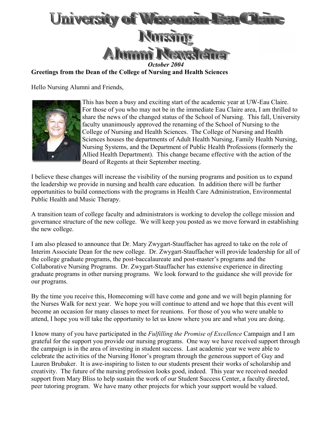

**Greetings from the Dean of the College of Nursing and Health Sciences** 

Hello Nursing Alumni and Friends,



This has been a busy and exciting start of the academic year at UW-Eau Claire. For those of you who may not be in the immediate Eau Claire area, I am thrilled to share the news of the changed status of the School of Nursing. This fall, U niversity faculty unanimously approved the renaming of the School of Nursing to the College of Nursing and Health Sciences. The College of Nursing and Health Sciences houses the departments of Adult Health Nursing, Family Health Nursing, Nursing Systems, and the Department of Public Health Professions (formerly the Allied Health Department). This change became effective with the action of the Board of Regents at their September meeting.

I believe these changes will increase the visibility of the nursing programs and position us to expand the leadership we provide in nursing and health care education. In addition there will be further opportunities to build connections with the programs in Health Care Administration, Environmental Public Health and Music Therapy.

A transition team of college faculty and administrators is working to develop the college mission and governance structure of the new college. We will keep you posted as we move forward in establishing the new college.

I am also pleased to announce that Dr. Mary Zwygart-Stauffacher has agreed to take on the role of Interim Associate Dean for the new college. Dr. Zwygart-Stauffacher will provide leadership for all of the college graduate programs, the post-baccalaureate and post-master's programs and the Collaborative Nursing Programs. Dr. Zwygart-Stauffacher has extensive experience in directing graduate programs in other nursing programs. We look forward to the guidance she will provide for our programs.

By the time you receive this, Homecoming will have come and gone and we will begin planning for the Nurses Walk for next year. We hope you will continue to attend and we hope that this event will become an occasion for many classes to meet for reunions. For those of you who were unable to attend, I hope you will take the opportunity to let us know where you are and what you are doing.

I know many of you have participated in the *Fulfilling the Promise of Excellence* Campaign and I am grateful for the support you provide our nursing programs. One way we have received support through the campaign is in the area of investing in student success. Last academic year we were able to celebrate the activities of the Nursing Honor's program through the generous support of Guy and Lauren Brubaker. It is awe-inspiring to listen to our students present their works of scholarship and creativity. The future of the nursing profession looks good, indeed. This year we received needed support from Mary Bliss to help sustain the work of our Student Success Center, a faculty directed, peer tutoring program. We have many other projects for which your support would be valued.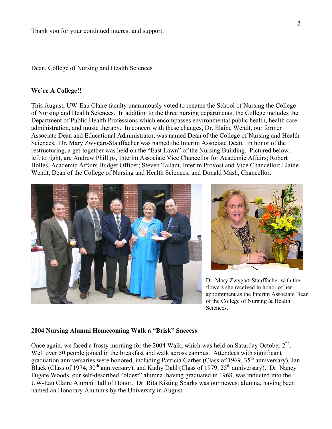Dean, College of Nursing and Health Sciences

#### **We're A College!!**

This August, UW-Eau Claire faculty unanimously voted to rename the School of Nursing the College of Nursing and Health Sciences. In addition to the three nursing departments, the College includes the Department of Public Health Professions which encompasses environmental public health, health care administration, and music therapy. In concert with these changes, Dr. Elaine Wendt, our former Associate Dean and Educational Administrator, was named Dean of the College of Nursing and Health Sciences. Dr. Mary Zwygart-Stauffacher was named the Interim Associate Dean. In honor of the restructuring, a get-together was held on the "East Lawn" of the Nursing Building. Pictured below, left to right, are Andrew Phillips, Interim Associate Vice Chancellor for Academic Affairs; Robert Bolles, Academic Affairs Budget Officer; Steven Tallant, Interim Provost and Vice Chancellor; Elaine Wendt, Dean of the College of Nursing and Health Sciences; and Donald Mash, Chancellor.





Dr. Mary Zwygart-Stauffacher with the flowers she received in honor of her appointment as the Interim Associate Dean of the College of Nursing & Health Sciences.

#### **2004 Nursing Alumni Homecoming Walk a "Brisk" Success**

Once again, we faced a frosty morning for the 2004 Walk, which was held on Saturday October  $2<sup>nd</sup>$ . Well over 50 people joined in the breakfast and walk across campus. Attendees with significant graduation anniversaries were honored, including Patricia Garber (Class of 1969, 35<sup>th</sup> anniversary), Jan Black (Class of 1974,  $30<sup>th</sup>$  anniversary), and Kathy Dahl (Class of 1979,  $25<sup>th</sup>$  anniversary). Dr. Nancy Fugate Woods, our self-described "oldest" alumna, having graduated in 1968, was inducted into the UW-Eau Claire Alumni Hall of Honor. Dr. Rita Kisting Sparks was our newest alumna, having been named an Honorary Alumnus by the University in August.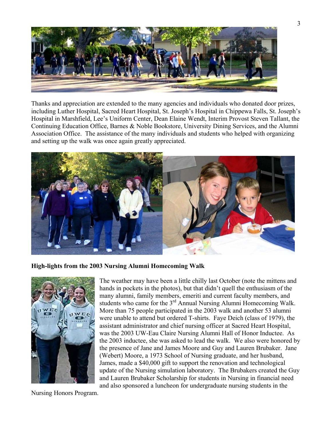

Thanks and appreciation are extended to the many agencies and individuals who donated door prizes, including Luther Hospital, Sacred Heart Hospital, St. Joseph's Hospital in Chippewa Falls, St. Joseph's Hospital in Marshfield, Lee's Uniform Center, Dean Elaine Wendt, Interim Provost Steven Tallant, the Continuing Education Office, Barnes & Noble Bookstore, University Dining Services, and the Alumni Association Office. The assistance of the many individuals and students who helped with organizing and setting up the walk was once again greatly appreciated.



**High-lights from the 2003 Nursing Alumni Homecoming Walk** 



The weather may have been a little chilly last October (note the mittens and hands in pockets in the photos), but that didn't quell the enthusiasm of the many alumni, family members, emeriti and current faculty members, and students who came for the 3<sup>rd</sup> Annual Nursing Alumni Homecoming Walk. More than 75 people participated in the 2003 walk and another 53 alumni were unable to attend but ordered T-shirts. Faye Deich (class of 1979), the assistant administrator and chief nursing officer at Sacred Heart Hospital, was the 2003 UW-Eau Claire Nursing Alumni Hall of Honor Inductee. As the 2003 inductee, she was asked to lead the walk. We also were honored b ythe presence of Jane and James Moore and Guy and Lauren Brubaker. Jane (Webert) Moore, a 1973 School of Nursing graduate, and her husband, James, made a \$40,000 gift to support the renovation and technological update of the Nursing simulation laboratory. The Brubakers created the Guy and Lauren Brubaker Scholarship for students in Nursing in financial need and also sponsored a luncheon for undergraduate nursing students in the

Nursing Honors Program.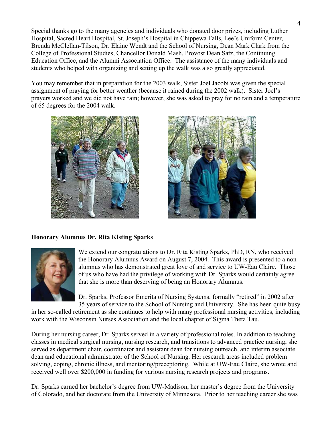Special thanks go to the many agencies and individuals who donated door prizes, including Luther Hospital, Sacred Heart Hospital, St. Joseph's Hospital in Chippewa Falls, Lee's Uniform Center, Brenda McClellan-Tilson, Dr. Elaine Wendt and the School of Nursing, Dean Mark Clark from the College of Professional Studies, Chancellor Donald Mash, Provost Dean Satz, the Continuing Education Office, and the Alumni Association Office. The assistance of the many individuals and students who helped with organizing and setting up the walk was also greatly appreciated.

You may remember that in preparation for the 2003 walk, Sister Joel Jacobi was given the special assignment of praying for better weather (because it rained during the 2002 walk). Sister Joel's prayers worked and we did not have rain; however, she was asked to pray for no rain and a temperature of 65 degrees for the 2004 walk.





# **Honorary Alumnus Dr. Rita Kisting Sparks**



We extend our congratulations to Dr. Rita Kisting Sparks, PhD, RN, who received the Honorary Alumnus Award on August 7, 2004. This award is presented to a nonalumnus who has demonstrated great love of and service to UW-Eau Claire. Those of us who have had the privilege of working with Dr. Sparks would certainly agree that she is more than deserving of being an Honorary Alumnus.

35 years of service to the School of Nursing and University. She has been quite busy Dr. Sparks, Professor Emerita of Nursing Systems, formally "retired" in 2002 after

in her so-called retirement as she continues to help with many professional nursing activities, including work with the Wisconsin Nurses Association and the local chapter of Sigma Theta Tau.

During her nursing career, Dr. Sparks served in a variety of professional roles. In addition to teaching classes in medical surgical nursing, nursing research, and transitions to advanced practice nursing, she served as department chair, coordinator and assistant dean for nursing outreach, and interim associate dean and educational administrator of the School of Nursing. Her research areas included problem solving, coping, chronic illness, and mentoring/preceptoring. While at UW-Eau Claire, she wrote and received well over \$200,000 in funding for various nursing research projects and programs.

Dr. Sparks earned her bachelor's degree from UW-Madison, her master's degree from the University of Colorado, and her doctorate from the University of Minnesota. Prior to her teaching career she was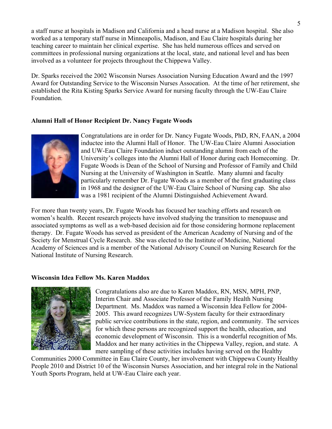a staff nurse at hospitals in Madison and California and a head nurse at a Madison hospital. She also worked as a temporary staff nurse in Minneapolis, Madison, and Eau Claire hospitals during her teaching career to maintain her clinical expertise. She has held numerous offices and served on committees in professional nursing organizations at the local, state, and national level and has been involved as a volunteer for projects throughout the Chippewa Valley.

Dr. Sparks received the 2002 Wisconsin Nurses Association Nursing Education Award and the 1997 Award for Outstanding Service to the Wisconsin Nurses Assocation. At the time of her retirement, she established the Rita Kisting Sparks Service Award for nursing faculty through the UW-Eau Claire Foundation.

# **Alumni Hall of Honor Recipient Dr. Nancy Fugate Woods**



Congratulations are in order for Dr. Nancy Fugate Woods, PhD, RN, FAAN, a 2004 inductee into the Alumni Hall of Honor. The UW-Eau Claire Alumni Association University's colleges into the Alumni Hall of Honor during each Homecoming. Dr. particularly remember Dr. Fugate Woods as a member of the first graduating class and UW-Eau Claire Foundation induct outstanding alumni from each of the Fugate Woods is Dean of the School of Nursing and Professor of Family and Child Nursing at the University of Washington in Seattle. Many alumni and faculty in 1968 and the designer of the UW-Eau Claire School of Nursing cap. She also was a 1981 recipient of the Alumni Distinguished Achievement Award.

For more than twenty years, Dr. Fugate Woods has focused her teaching efforts and research on women's health. Recent research projects have involved studying the transition to menopause and associated symptoms as well as a web-based decision aid for those considering hormone replacement Academy of Sciences and is a member of the National Advisory Council on Nursing Research for the therapy. Dr. Fugate Woods has served as president of the American Academy of Nursing and of the Society for Menstrual Cycle Research. She was elected to the Institute of Medicine, National National Institute of Nursing Research.

# **Wisconsin Idea Fellow Ms. Karen Maddox**



Congratulations also are due to Karen Maddox, RN, MSN, MPH, PNP, Department. Ms. Maddox was named a Wisconsin Idea Fellow for 2004public service contributions in the state, region, and community. The services economic development of Wisconsin. This is a wonderful recognition of Ms. Interim Chair and Associate Professor of the Family Health Nursing 2005. This award recognizes UW-System faculty for their extraordinary for which these persons are recognized support the health, education, and Maddox and her many activities in the Chippewa Valley, region, and state. A mere sampling of these activities includes having served on the Healthy

Communities 2000 Committee in Eau Claire County, her involvement with Chippewa County Healthy People 2010 and District 10 of the Wisconsin Nurses Association, and her integral role in the National Youth Sports Program, held at UW-Eau Claire each year.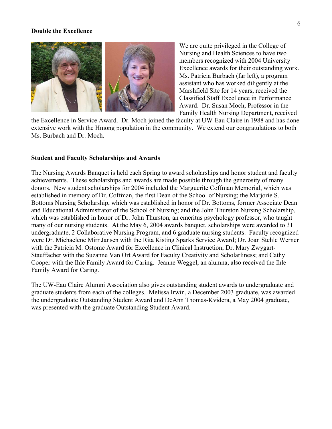#### **Double the Excellence**



We are quite privileged in the College of Nursing and Health Sciences to have two members recognized with 2004 University Excellence awards for their outstanding work. Ms. Patricia Burbach (far left), a program assistant who has worked diligently at the Marshfield Site for 14 years, received the Classified Staff Excellence in Performance Award. Dr. Susan Moch, Professor in the Family Health Nursing Department, received

the Excellence in Service Award. Dr. Moch joined the faculty at UW-Eau Claire in 1988 and has done extensive work with the Hmong population in the community. We extend our congratulations to both Ms. Burbach and Dr. Moch.

# **Student and Faculty Scholarships and Awards**

The Nursing Awards Banquet is held each Spring to award scholarships and honor student and faculty achievements. These scholarships and awards are made possible through the generosity of many donors. New student scholarships for 2004 included the Marguerite Coffman Memorial, which was established in memory of Dr. Coffman, the first Dean of the School of Nursing; the Marjorie S. Bottoms Nursing Scholarship, which was established in honor of Dr. Bottoms, former Associate Dean and Educational Administrator of the School of Nursing; and the John Thurston Nursing Scholarship, which was established in honor of Dr. John Thurston, an emeritus psychology professor, who taught many of our nursing students. At the May 6, 2004 awards banquet, scholarships were awarded to 31 undergraduate, 2 Collaborative Nursing Program, and 6 graduate nursing students. Faculty recognized were Dr. Michaelene Mirr Jansen with the Rita Kisting Sparks Service Award; Dr. Joan Stehle Werner with the Patricia M. Ostome Award for Excellence in Clinical Instruction; Dr. Mary Zwygart-Stauffacher with the Suzanne Van Ort Award for Faculty Creativity and Scholarliness; and Cathy Cooper with the Ihle Family Award for Caring. Jeanne Weggel, an alumna, also received the Ihle Family Award for Caring.

The UW-Eau Claire Alumni Association also gives outstanding student awards to undergraduate and graduate students from each of the colleges. Melissa Irwin, a December 2003 graduate, was awarded the undergraduate Outstanding Student Award and DeAnn Thomas-Kvidera, a May 2004 graduate, was presented with the graduate Outstanding Student Award.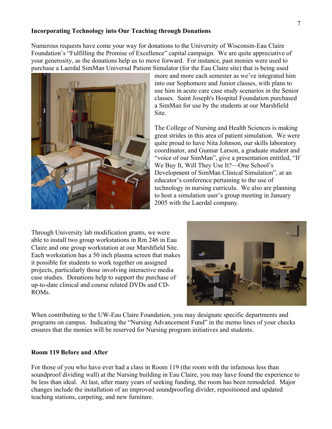#### **Incorporating Technology into Our Teaching through Donations**

Numerous requests have come your way for donations to the University of Wisconsin-Eau Claire Foundation's "Fulfilling the Promise of Excellence" capital campaign. We are quite appreciative of your generosity, as the donations help us to move forward. For instance, past monies were used to purchase a Laerdal SimMan Universal Patient Simulator (for the Eau Claire site) that is being used



more and more each semester as we've integrated him into our Sophomore and Junior classes, with plans to use him in acute care case study scenarios in the Senior classes. Saint Joseph's Hospital Foundation purchased a SimMan for use by the students at our Marshfield Site.

The College of Nursing and Health Sciences is making great strides in this area of patient simulation. We were quite proud to have Nita Johnson, our skills laboratory coordinator, and Gunnar Larson, a graduate student and "voice of our SimMan", give a presentation entitled, "If We Buy It, Will They Use It?—One School's Development of SimMan Clinical Simulation", at an educator's conference pertaining to the use of technology in nursing curricula. We also are planning to host a simulation user's group meeting in January 2005 with the Laerdal company.

Through University lab modification grants, we were able to install two group workstations in Rm 246 in Eau Claire and one group workstation at our Marshfield Site. Each workstation has a 50 inch plasma screen that makes it possible for students to work together on assigned projects, particularly those involving interactive media case studies. Donations help to support the purchase of up-to-date clinical and course related DVDs and CD-ROMs.



When contributing to the UW-Eau Claire Foundation, you may designate specific departments and programs on campus. Indicating the "Nursing Advancement Fund" in the memo lines of your checks ensures that the monies will be reserved for Nursing program initiatives and students.

#### **Room 119 Before and After**

For those of you who have ever had a class in Room 119 (the room with the infamous less than soundproof dividing wall) at the Nursing building in Eau Claire, you may have found the experience to be less than ideal. At last, after many years of seeking funding, the room has been remodeled. Major changes include the installation of an improved soundproofing divider, repositioned and updated teaching stations, carpeting, and new furniture.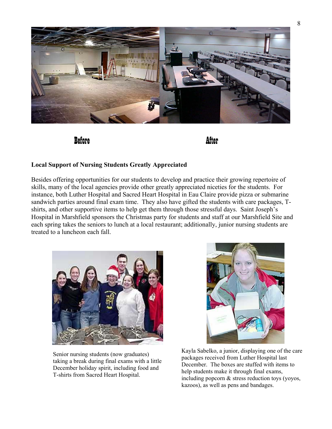

Before After

# **Local Support of Nursing Students Greatly Appreciated**

Besides offering opportunities for our students to develop and practice their growing repertoire of skills, many of the local agencies provide other greatly appreciated niceties for the students. For instance, both Luther Hospital and Sacred Heart Hospital in Eau Claire provide pizza or submarine sandwich parties around final exam time. They also have gifted the students with care packages, Tshirts, and other supportive items to help get them through those stressful days. Saint Joseph's Hospital in Marshfield sponsors the Christmas party for students and staff at our Marshfield Site and each spring takes the seniors to lunch at a local restaurant; additionally, junior nursing students are treated to a luncheon each fall.



Senior nursing students (now graduates) taking a break during final exams with a little December holiday spirit, including food and T-shirts from Sacred Heart Hospital.



 Kayla Sabelko, a junior, displaying one of the care packages received from Luther Hospital last December. The boxes are stuffed with items to help students make it through final exams, including popcorn & stress reduction toys (yoyos, kazoos), as well as pens and bandages.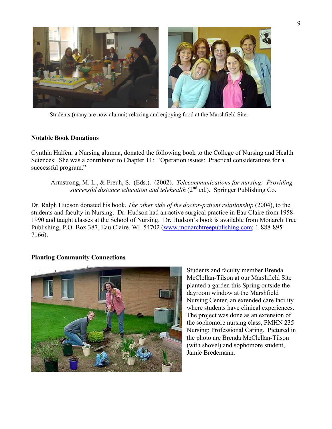

Students (many are now alumni) relaxing and enjoying food at the Marshfield Site.

# **Notable Book Donations**

Cynthia Halfen, a Nursing alumna, donated the following book to the College of Nursing and Health Sciences. She was a contributor to Chapter 11: "Operation issues: Practical considerations for a successful program."

Armstrong, M. L., & Freuh, S. (Eds.). (2002). *Telecommunications for nursing: Providing successful distance education and telehealth*  $(2^{nd}$  ed.). Springer Publishing Co.

Dr. Ralph Hudson donated his book, *The other side of the doctor-patient relationship* (2004), to the students and faculty in Nursing. Dr. Hudson had an active surgical practice in Eau Claire from 1958- 1990 and taught classes at the School of Nursing. Dr. Hudson's book is available from Monarch Tree Publishing, P.O. Box 387, Eau Claire, WI 54702 ([www.monarchtreepublishing.com;](http://www.monarchtreepublishing.com/) 1-888-895- 7166).

# **Planting Community Connections**



Students and faculty member Brenda McClellan-Tilson at our Marshfield Site planted a garden this Spring outside the dayroom window at the Marshfield Nursing Center, an extended care facility where students have clinical experiences. The project was done as an extension of the sophomore nursing class, FMHN 235 Nursing: Professional Caring. Pictured in the photo are Brenda McClellan-Tilson (with shovel) and sophomore student, Jamie Bredemann.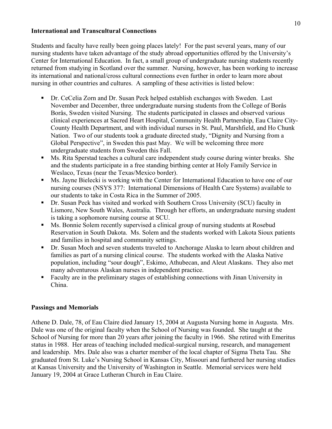# **International and Transcultural Connections**

Students and faculty have really been going places lately! For the past several years, many of our nursing students have taken advantage of the study abroad opportunities offered by the University's Center for International Education. In fact, a small group of undergraduate nursing students recently returned from studying in Scotland over the summer. Nursing, however, has been working to increase its international and national/cross cultural connections even further in order to learn more about nursing in other countries and cultures. A sampling of these activities is listed below:

- Dr. CeCelia Zorn and Dr. Susan Peck helped establish exchanges with Sweden. Last November and December, three undergraduate nursing students from the College of Borås Borås, Sweden visited Nursing. The students participated in classes and observed various clinical experiences at Sacred Heart Hospital, Community Health Partnership, Eau Claire City-County Health Department, and with individual nurses in St. Paul, Marshfield, and Ho Chunk Nation. Two of our students took a graduate directed study, "Dignity and Nursing from a Global Perspective", in Sweden this past May. We will be welcoming three more undergraduate students from Sweden this Fall.
- Ms. Rita Sperstad teaches a cultural care independent study course during winter breaks. She and the students participate in a free standing birthing center at Holy Family Service in Weslaco, Texas (near the Texas/Mexico border).
- Ms. Jayne Bielecki is working with the Center for International Education to have one of our nursing courses (NSYS 377: International Dimensions of Health Care Systems) available to our students to take in Costa Rica in the Summer of 2005.
- Dr. Susan Peck has visited and worked with Southern Cross University (SCU) faculty in Lismore, New South Wales, Australia. Through her efforts, an undergraduate nursing student is taking a sophomore nursing course at SCU.
- Ms. Bonnie Solem recently supervised a clinical group of nursing students at Rosebud Reservation in South Dakota. Ms. Solem and the students worked with Lakota Sioux patients and families in hospital and community settings.
- Dr. Susan Moch and seven students traveled to Anchorage Alaska to learn about children and families as part of a nursing clinical course. The students worked with the Alaska Native population, including "sour dough", Eskimo, Athubecan, and Aleut Alaskans. They also met many adventurous Alaskan nurses in independent practice.
- Faculty are in the preliminary stages of establishing connections with Jinan University in China.

# **Passings and Memorials**

Athene D. Dale, 78, of Eau Claire died January 15, 2004 at Augusta Nursing home in Augusta. Mrs. Dale was one of the original faculty when the School of Nursing was founded. She taught at the School of Nursing for more than 20 years after joining the faculty in 1966. She retired with Emeritus status in 1988. Her areas of teaching included medical-surgical nursing, research, and management and leadership. Mrs. Dale also was a charter member of the local chapter of Sigma Theta Tau. She graduated from St. Luke's Nursing School in Kansas City, Missouri and furthered her nursing studies at Kansas University and the University of Washington in Seattle. Memorial services were held January 19, 2004 at Grace Lutheran Church in Eau Claire.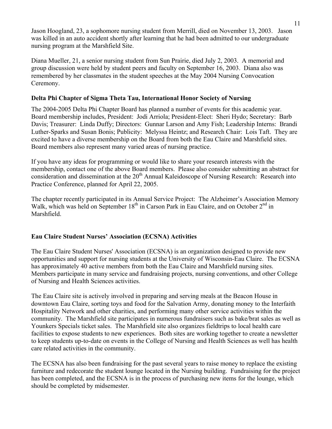Jason Hoogland, 23, a sophomore nursing student from Merrill, died on November 13, 2003. Jason was killed in an auto accident shortly after learning that he had been admitted to our undergraduate nursing program at the Marshfield Site.

Diana Mueller, 21, a senior nursing student from Sun Prairie, died July 2, 2003. A memorial and group discussion were held by student peers and faculty on September 16, 2003. Diana also was remembered by her classmates in the student speeches at the May 2004 Nursing Convocation Ceremony.

# **Delta Phi Chapter of Sigma Theta Tau, International Honor Society of Nursing**

The 2004-2005 Delta Phi Chapter Board has planned a number of events for this academic year. Board membership includes, President: Jodi Arriola; President-Elect: Sheri Hydo; Secretary: Barb Davis; Treasurer: Linda Duffy; Directors: Gunnar Larson and Amy Fish; Leadership Interns: Brandi Luther-Sparks and Susan Bonis; Publicity: Melyssa Heintz; and Research Chair: Lois Taft. They are excited to have a diverse membership on the Board from both the Eau Claire and Marshfield sites. Board members also represent many varied areas of nursing practice.

If you have any ideas for programming or would like to share your research interests with the membership, contact one of the above Board members. Please also consider submitting an abstract for consideration and dissemination at the  $20<sup>th</sup>$  Annual Kaleidoscope of Nursing Research: Research into Practice Conference, planned for April 22, 2005.

The chapter recently participated in its Annual Service Project: The Alzheimer's Association Memory Walk, which was held on September  $18<sup>th</sup>$  in Carson Park in Eau Claire, and on October  $2<sup>nd</sup>$  in Marshfield.

# **Eau Claire Student Nurses' Association (ECSNA) Activities**

The Eau Claire Student Nurses' Association (ECSNA) is an organization designed to provide new opportunities and support for nursing students at the University of Wisconsin-Eau Claire. The ECSNA has approximately 40 active members from both the Eau Claire and Marshfield nursing sites. Members participate in many service and fundraising projects, nursing conventions, and other College of Nursing and Health Sciences activities.

The Eau Claire site is actively involved in preparing and serving meals at the Beacon House in downtown Eau Claire, sorting toys and food for the Salvation Army, donating money to the Interfaith Hospitality Network and other charities, and performing many other service activities within the community. The Marshfield site participates in numerous fundraisers such as bake/brat sales as well as Younkers Specials ticket sales. The Marshfield site also organizes fieldtrips to local health care facilities to expose students to new experiences. Both sites are working together to create a newsletter to keep students up-to-date on events in the College of Nursing and Health Sciences as well has health care related activities in the community.

The ECSNA has also been fundraising for the past several years to raise money to replace the existing furniture and redecorate the student lounge located in the Nursing building. Fundraising for the project has been completed, and the ECSNA is in the process of purchasing new items for the lounge, which should be completed by midsemester.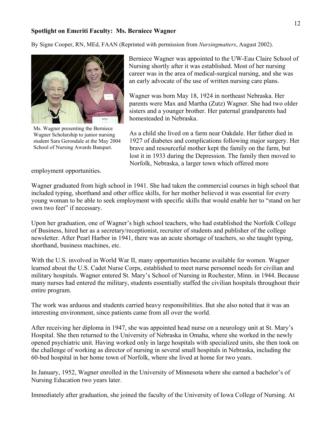## **Spotlight on Emeriti Faculty: Ms. Berniece Wagner**

By Signe Cooper, RN, MEd, FAAN (Reprinted with permission from *Nursingmatters*, August 2002).



Ms. Wagner presenting the Berniece Wagner Scholarship to junior nursing student Sara Gerondale at the May 2004 School of Nursing Awards Banquet.

employment opportunities.

Berniece Wagner was appointed to the UW-Eau Claire School of Nursing shortly after it was established. Most of her nursing career was in the area of medical-surgical nursing, and she was an early advocate of the use of written nursing care plans.

Wagner was born May 18, 1924 in northeast Nebraska. Her parents were Max and Martha (Zutz) Wagner. She had two older sisters and a younger brother. Her paternal grandparents had homesteaded in Nebraska.

As a child she lived on a farm near Oakdale. Her father died in 1927 of diabetes and complications following major surgery. Her brave and resourceful mother kept the family on the farm, but lost it in 1933 during the Depression. The family then moved to Norfolk, Nebraska, a larger town which offered more

Wagner graduated from high school in 1941. She had taken the commercial courses in high school that included typing, shorthand and other office skills, for her mother believed it was essential for every young woman to be able to seek employment with specific skills that would enable her to "stand on her own two feet" if necessary.

Upon her graduation, one of Wagner's high school teachers, who had established the Norfolk College of Business, hired her as a secretary/receptionist, recruiter of students and publisher of the college newsletter. After Pearl Harbor in 1941, there was an acute shortage of teachers, so she taught typing, shorthand, business machines, etc.

With the U.S. involved in World War II, many opportunities became available for women. Wagner learned about the U.S. Cadet Nurse Corps, established to meet nurse personnel needs for civilian and military hospitals. Wagner entered St. Mary's School of Nursing in Rochester, Minn. in 1944. Because many nurses had entered the military, students essentially staffed the civilian hospitals throughout their entire program.

The work was arduous and students carried heavy responsibilities. But she also noted that it was an interesting environment, since patients came from all over the world.

After receiving her diploma in 1947, she was appointed head nurse on a neurology unit at St. Mary's Hospital. She then returned to the University of Nebraska in Omaha, where she worked in the newly opened psychiatric unit. Having worked only in large hospitals with specialized units, she then took on the challenge of working as director of nursing in several small hospitals in Nebraska, including the 60-bed hospital in her home town of Norfolk, where she lived at home for two years.

In January, 1952, Wagner enrolled in the University of Minnesota where she earned a bachelor's of Nursing Education two years later.

Immediately after graduation, she joined the faculty of the University of Iowa College of Nursing. At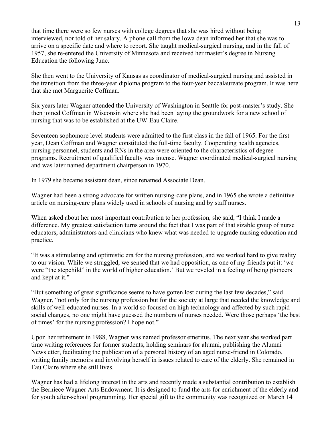that time there were so few nurses with college degrees that she was hired without being interviewed, nor told of her salary. A phone call from the Iowa dean informed her that she was to arrive on a specific date and where to report. She taught medical-surgical nursing, and in the fall of 1957, she re-entered the University of Minnesota and received her master's degree in Nursing Education the following June.

She then went to the University of Kansas as coordinator of medical-surgical nursing and assisted in the transition from the three-year diploma program to the four-year baccalaureate program. It was here that she met Marguerite Coffman.

Six years later Wagner attended the University of Washington in Seattle for post-master's study. She then joined Coffman in Wisconsin where she had been laying the groundwork for a new school of nursing that was to be established at the UW-Eau Claire.

Seventeen sophomore level students were admitted to the first class in the fall of 1965. For the first year, Dean Coffman and Wagner constituted the full-time faculty. Cooperating health agencies, nursing personnel, students and RNs in the area were oriented to the characteristics of degree programs. Recruitment of qualified faculty was intense. Wagner coordinated medical-surgical nursing and was later named department chairperson in 1970.

In 1979 she became assistant dean, since renamed Associate Dean.

Wagner had been a strong advocate for written nursing-care plans, and in 1965 she wrote a definitive article on nursing-care plans widely used in schools of nursing and by staff nurses.

When asked about her most important contribution to her profession, she said, "I think I made a difference. My greatest satisfaction turns around the fact that I was part of that sizable group of nurse educators, administrators and clinicians who knew what was needed to upgrade nursing education and practice.

"It was a stimulating and optimistic era for the nursing profession, and we worked hard to give reality to our vision. While we struggled, we sensed that we had opposition, as one of my friends put it: 'we were "the stepchild" in the world of higher education.' But we reveled in a feeling of being pioneers and kept at it."

"But something of great significance seems to have gotten lost during the last few decades," said Wagner, "not only for the nursing profession but for the society at large that needed the knowledge and skills of well-educated nurses. In a world so focused on high technology and affected by such rapid social changes, no one might have guessed the numbers of nurses needed. Were those perhaps 'the best of times' for the nursing profession? I hope not."

Upon her retirement in 1988, Wagner was named professor emeritus. The next year she worked part time writing references for former students, holding seminars for alumni, publishing the Alumni Newsletter, facilitating the publication of a personal history of an aged nurse-friend in Colorado, writing family memoirs and involving herself in issues related to care of the elderly. She remained in Eau Claire where she still lives.

Wagner has had a lifelong interest in the arts and recently made a substantial contribution to establish the Berniece Wagner Arts Endowment. It is designed to fund the arts for enrichment of the elderly and for youth after-school programming. Her special gift to the community was recognized on March 14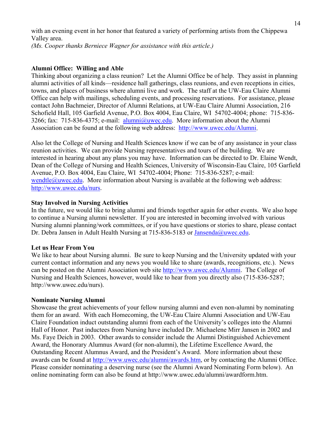with an evening event in her honor that featured a variety of performing artists from the Chippewa Valley area. *(Ms. Cooper thanks Berniece Wagner for assistance with this article.)*

#### **Alumni Office: Willing and Able**

Thinking about organizing a class reunion? Let the Alumni Office be of help. They assist in planning alumni activities of all kinds—residence hall gatherings, class reunions, and even receptions in cities, towns, and places of business where alumni live and work. The staff at the UW-Eau Claire Alumni Office can help with mailings, scheduling events, and processing reservations. For assistance, please contact John Bachmeier, Director of Alumni Relations, at UW-Eau Claire Alumni Association, 216 Schofield Hall, 105 Garfield Avenue, P.O. Box 4004, Eau Claire, WI 54702-4004; phone: 715-836 3266; fax: 715-836-4375; e-mail: [alumni@uwec.edu.](mailto:alumni@uwec.edu) More information about the Alumni Association can be found at the following web address: [http://www.uwec.edu/Alumni.](http://www.uwec.edu/Alumni)

Also let the College of Nursing and Health Sciences know if we can be of any assistance in your class reunion activities. We can provide Nursing representatives and tours of the building. We are interested in hearing about any plans you may have. Information can be directed to Dr. Elaine Wendt, Dean of the College of Nursing and Health Sciences, University of Wisconsin-Eau Claire, 105 Garfield Avenue, P.O. Box 4004, Eau Claire, WI 54702-4004; Phone: 715-836-5287; e-mail: [wendtle@uwec.edu](mailto:wendtle@uwec.edu). More information about Nursing is available at the following web address: [http://www.uwec.edu/nurs.](http://www.uwec.edu/nurs)

#### **Stay Involved in Nursing Activities**

In the future, we would like to bring alumni and friends together again for other events. We also hope to continue a Nursing alumni newsletter. If you are interested in becoming involved with various Nursing alumni planning/work committees, or if you have questions or stories to share, please contact Dr. Debra Jansen in Adult Health Nursing at 715-836-5183 or [Jansenda@uwec.edu.](mailto:Jansenda@uwec.edu)

#### **Let us Hear From You**

We like to hear about Nursing alumni. Be sure to keep Nursing and the University updated with your current contact information and any news you would like to share (awards, recognitions, etc.). News can be posted on the Alumni Association web site [http://www.uwec.edu/Alumni.](http://www.uwec.edu/Alumni) The College of Nursing and Health Sciences, however, would like to hear from you directly also (715-836-5287; http://www.uwec.edu/nurs).

#### **Nominate Nursing Alumni**

Showcase the great achievements of your fellow nursing alumni and even non-alumni by nominating them for an award. With each Homecoming, the UW-Eau Claire Alumni Association and UW-Eau Claire Foundation induct outstanding alumni from each of the University's colleges into the Alumni Hall of Honor. Past inductees from Nursing have included Dr. Michaelene Mirr Jansen in 2002 and Ms. Faye Deich in 2003. Other awards to consider include the Alumni Distinguished Achievement Award, the Honorary Alumnus Award (for non-alumni), the Lifetime Excellence Award, the Outstanding Recent Alumnus Award, and the President's Award. More information about these awards can be found at<http://www.uwec.edu/alumni/awards.htm>, or by contacting the Alumni Office. Please consider nominating a deserving nurse (see the Alumni Award Nominating Form below). An online nominating form can also be found at http://www.uwec.edu/alumni/awardform.htm.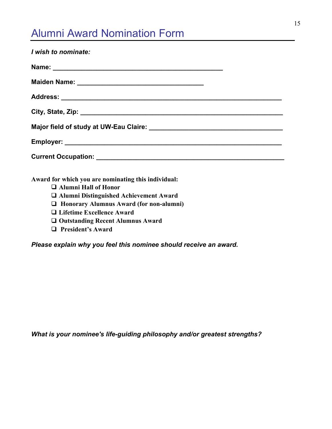# Alumni Award Nomination Form

| I wish to nominate:                                 |
|-----------------------------------------------------|
|                                                     |
|                                                     |
|                                                     |
|                                                     |
|                                                     |
|                                                     |
|                                                     |
| Award for which you are nominating this individual: |
| □ Alumni Hall of Honor                              |
| □ Alumni Distinguished Achievement Award            |
| □ Honorary Alumnus Award (for non-alumni)           |
| □ Lifetime Excellence Award                         |
| □ Outstanding Recent Alumnus Award                  |
| <b>Q</b> President's Award                          |

*Please explain why you feel this nominee should receive an award.*

*What is your nominee's life-guiding philosophy and/or greatest strengths?*